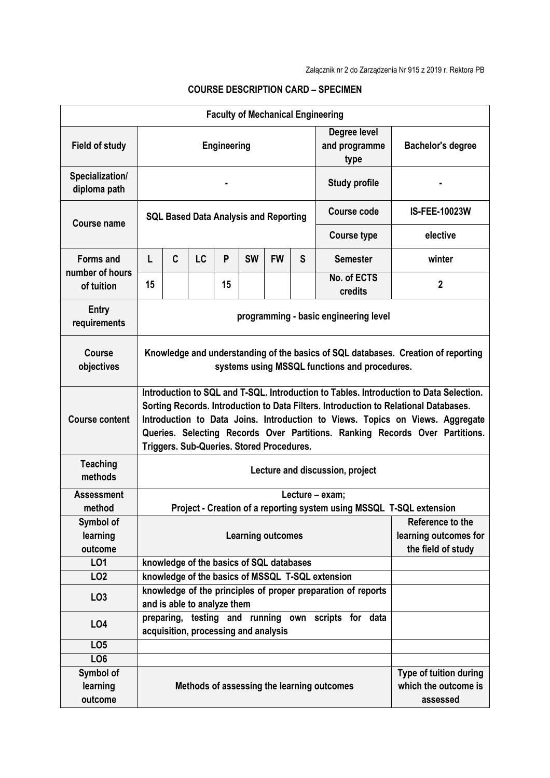| <b>Faculty of Mechanical Engineering</b> |                                                                                                                                                                                                                                                                                                                                                                                              |                                          |           |    |           |           |   |                                                  |                          |
|------------------------------------------|----------------------------------------------------------------------------------------------------------------------------------------------------------------------------------------------------------------------------------------------------------------------------------------------------------------------------------------------------------------------------------------------|------------------------------------------|-----------|----|-----------|-----------|---|--------------------------------------------------|--------------------------|
| <b>Field of study</b>                    | <b>Engineering</b>                                                                                                                                                                                                                                                                                                                                                                           |                                          |           |    |           |           |   | Degree level<br>and programme<br>type            | <b>Bachelor's degree</b> |
| Specialization/<br>diploma path          | <b>Study profile</b>                                                                                                                                                                                                                                                                                                                                                                         |                                          |           |    |           |           |   |                                                  |                          |
| <b>Course name</b>                       | <b>SQL Based Data Analysis and Reporting</b>                                                                                                                                                                                                                                                                                                                                                 |                                          |           |    |           |           |   | Course code                                      | <b>IS-FEE-10023W</b>     |
|                                          | <b>Course type</b>                                                                                                                                                                                                                                                                                                                                                                           |                                          |           |    |           |           |   |                                                  | elective                 |
| <b>Forms and</b>                         | L                                                                                                                                                                                                                                                                                                                                                                                            | C                                        | <b>LC</b> | P  | <b>SW</b> | <b>FW</b> | S | <b>Semester</b>                                  | winter                   |
| number of hours<br>of tuition            | 15                                                                                                                                                                                                                                                                                                                                                                                           |                                          |           | 15 |           |           |   | No. of ECTS<br>credits                           | $\mathbf{2}$             |
| Entry<br>requirements                    | programming - basic engineering level                                                                                                                                                                                                                                                                                                                                                        |                                          |           |    |           |           |   |                                                  |                          |
| Course<br>objectives                     | Knowledge and understanding of the basics of SQL databases. Creation of reporting<br>systems using MSSQL functions and procedures.                                                                                                                                                                                                                                                           |                                          |           |    |           |           |   |                                                  |                          |
| <b>Course content</b>                    | Introduction to SQL and T-SQL. Introduction to Tables. Introduction to Data Selection.<br>Sorting Records. Introduction to Data Filters. Introduction to Relational Databases.<br>Introduction to Data Joins. Introduction to Views. Topics on Views. Aggregate<br>Queries. Selecting Records Over Partitions. Ranking Records Over Partitions.<br>Triggers. Sub-Queries. Stored Procedures. |                                          |           |    |           |           |   |                                                  |                          |
| <b>Teaching</b><br>methods               | Lecture and discussion, project                                                                                                                                                                                                                                                                                                                                                              |                                          |           |    |           |           |   |                                                  |                          |
| <b>Assessment</b><br>method              | Lecture - exam;                                                                                                                                                                                                                                                                                                                                                                              |                                          |           |    |           |           |   |                                                  |                          |
| Symbol of                                | Project - Creation of a reporting system using MSSQL T-SQL extension                                                                                                                                                                                                                                                                                                                         |                                          |           |    |           |           |   | Reference to the                                 |                          |
| learning<br>outcome                      | <b>Learning outcomes</b><br>learning outcomes for<br>the field of study                                                                                                                                                                                                                                                                                                                      |                                          |           |    |           |           |   |                                                  |                          |
| LO1                                      |                                                                                                                                                                                                                                                                                                                                                                                              | knowledge of the basics of SQL databases |           |    |           |           |   |                                                  |                          |
| LO <sub>2</sub>                          |                                                                                                                                                                                                                                                                                                                                                                                              |                                          |           |    |           |           |   | knowledge of the basics of MSSQL T-SQL extension |                          |
| LO <sub>3</sub>                          | knowledge of the principles of proper preparation of reports<br>and is able to analyze them                                                                                                                                                                                                                                                                                                  |                                          |           |    |           |           |   |                                                  |                          |
| LO <sub>4</sub>                          | preparing, testing and running own scripts for data<br>acquisition, processing and analysis                                                                                                                                                                                                                                                                                                  |                                          |           |    |           |           |   |                                                  |                          |
| LO <sub>5</sub>                          |                                                                                                                                                                                                                                                                                                                                                                                              |                                          |           |    |           |           |   |                                                  |                          |
| LO <sub>6</sub>                          |                                                                                                                                                                                                                                                                                                                                                                                              |                                          |           |    |           |           |   |                                                  |                          |
| Symbol of<br>learning<br>outcome         | Type of tuition during<br>which the outcome is<br>Methods of assessing the learning outcomes<br>assessed                                                                                                                                                                                                                                                                                     |                                          |           |    |           |           |   |                                                  |                          |

## **COURSE DESCRIPTION CARD – SPECIMEN**